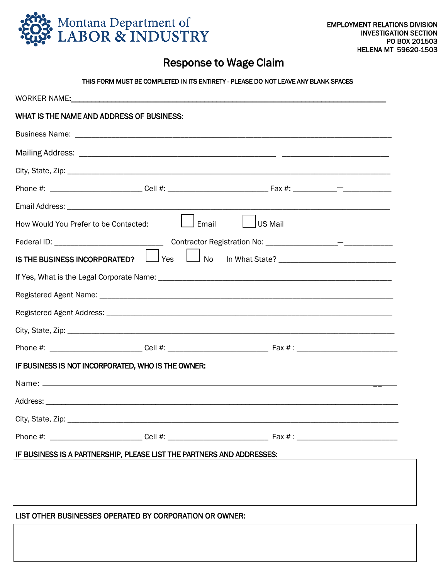

## Response to Wage Claim

## THIS FORM MUST BE COMPLETED IN ITS ENTIRETY - PLEASE DO NOT LEAVE ANY BLANK SPACES

| WHAT IS THE NAME AND ADDRESS OF BUSINESS:                             |
|-----------------------------------------------------------------------|
|                                                                       |
|                                                                       |
|                                                                       |
|                                                                       |
|                                                                       |
| <b>US Mail</b><br>Email<br>How Would You Prefer to be Contacted:      |
|                                                                       |
| Yes<br><b>No</b><br>IS THE BUSINESS INCORPORATED?                     |
|                                                                       |
|                                                                       |
|                                                                       |
|                                                                       |
|                                                                       |
| IF BUSINESS IS NOT INCORPORATED, WHO IS THE OWNER:                    |
|                                                                       |
|                                                                       |
|                                                                       |
|                                                                       |
| IF BUSINESS IS A PARTNERSHIP, PLEASE LIST THE PARTNERS AND ADDRESSES: |
|                                                                       |
|                                                                       |
| LIST OTHER BUSINESSES OPERATED BY CORPORATION OR OWNER:               |
|                                                                       |